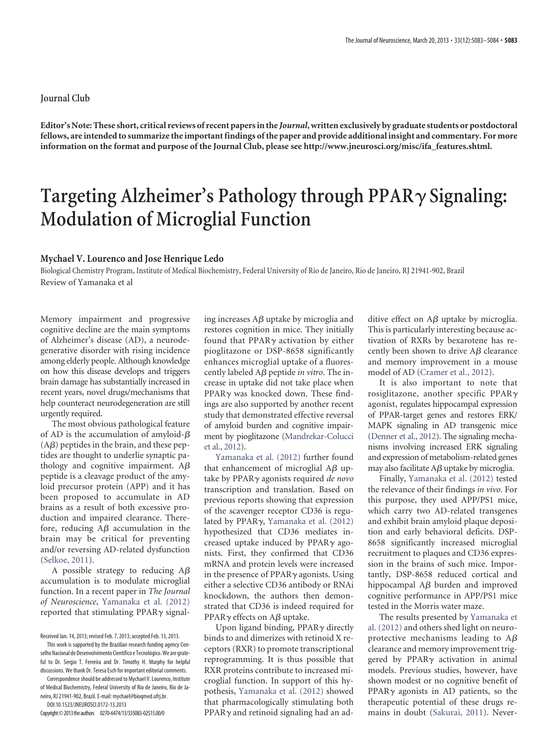## **Journal Club**

**Editor's Note: These short, critical reviews of recent papers in the** *Journal***, written exclusively by graduate students or postdoctoral fellows, are intended to summarize the important findings of the paper and provide additional insight and commentary. For more information on the format and purpose of the Journal Club, please see [http://www.jneurosci.org/misc/ifa\\_features.shtml.](http://www.jneurosci.org/misc/ifa_features.shtml)**

## **Targeting Alzheimer's Pathology through PPAR Signaling: Modulation of Microglial Function**

## **Mychael V. Lourenco and Jose Henrique Ledo**

Biological Chemistry Program, Institute of Medical Biochemistry, Federal University of Rio de Janeiro, Rio de Janeiro, RJ 21941-902, Brazil Review of [Yamanaka et al](http://www.jneurosci.org/content/32/48/17321.full)

Memory impairment and progressive cognitive decline are the main symptoms of Alzheimer's disease (AD), a neurodegenerative disorder with rising incidence among elderly people. Although knowledge on how this disease develops and triggers brain damage has substantially increased in recent years, novel drugs/mechanisms that help counteract neurodegeneration are still urgently required.

The most obvious pathological feature of AD is the accumulation of amyloid- $\beta$  $(A\beta)$  peptides in the brain, and these peptides are thought to underlie synaptic pathology and cognitive impairment.  $A\beta$ peptide is a cleavage product of the amyloid precursor protein (APP) and it has been proposed to accumulate in AD brains as a result of both excessive production and impaired clearance. Therefore, reducing  $A\beta$  accumulation in the brain may be critical for preventing and/or reversing AD-related dysfunction [\(Selkoe, 2011\)](#page-1-0).

A possible strategy to reducing  $A\beta$ accumulation is to modulate microglial function. In a recent paper in *The Journal of Neuroscience*, [Yamanaka et al. \(2012\)](#page-1-1) reported that stimulating PPAR $\gamma$  signal-

This work is supported by the Brazilian research funding agency Conselho Nacional de Desenvolvimento Cientifico e Tecnológico. We are grateful to Dr. Sergio T. Ferreira and Dr. Timothy H. Murphy for helpful discussions. We thank Dr. Teresa Esch for important editorial comments.

Correspondence should be addressed to Mychael V. Lourenco, Institute of Medical Biochemistry, Federal University of Rio de Janeiro, Rio de Janeiro, RJ 21941-902, Brazil. E-mail: mychael@bioqmed.ufrj.br.

DOI:10.1523/JNEUROSCI.0172-13.2013 Copyright©2013theauthors 0270-6474/13/335083-02\$15.00/0

ing increases  $A\beta$  uptake by microglia and restores cognition in mice. They initially found that  $PPAR\gamma$  activation by either pioglitazone or DSP-8658 significantly enhances microglial uptake of a fluorescently labeled Aβ peptide *in vitro*. The increase in uptake did not take place when PPAR $\gamma$  was knocked down. These findings are also supported by another recent study that demonstrated effective reversal of amyloid burden and cognitive impairment by pioglitazone [\(Mandrekar-Colucci](#page-1-2) [et al., 2012\)](#page-1-2).

[Yamanaka et al. \(2012\)](#page-1-1) further found that enhancement of microglial A $\beta$  uptake by PPAR<sub>Y</sub> agonists required *de novo* transcription and translation. Based on previous reports showing that expression of the scavenger receptor CD36 is regulated by PPAR $\gamma$ , [Yamanaka et al. \(2012\)](#page-1-1) hypothesized that CD36 mediates increased uptake induced by  $PPAR\gamma$  agonists. First, they confirmed that CD36 mRNA and protein levels were increased in the presence of  $PPAR\gamma$  agonists. Using either a selective CD36 antibody or RNAi knockdown, the authors then demonstrated that CD36 is indeed required for PPAR $\gamma$  effects on A $\beta$  uptake.

Upon ligand binding,  $PPAR\gamma$  directly binds to and dimerizes with retinoid X receptors (RXR) to promote transcriptional reprogramming. It is thus possible that RXR proteins contribute to increased microglial function. In support of this hypothesis, [Yamanaka et al. \(2012\)](#page-1-1) showed that pharmacologically stimulating both  $PPAR<sub>\gamma</sub>$  and retinoid signaling had an ad-

ditive effect on  $A\beta$  uptake by microglia. This is particularly interesting because activation of RXRs by bexarotene has recently been shown to drive  $A\beta$  clearance and memory improvement in a mouse model of AD [\(Cramer et al., 2012\)](#page-1-3).

It is also important to note that rosiglitazone, another specific PPAR $\gamma$ agonist, regulates hippocampal expression of PPAR-target genes and restores ERK/ MAPK signaling in AD transgenic mice [\(Denner et al., 2012\)](#page-1-4). The signaling mechanisms involving increased ERK signaling and expression of metabolism-related genes may also facilitate  $A\beta$  uptake by microglia.

Finally, [Yamanaka et al. \(2012\)](#page-1-1) tested the relevance of their findings *in vivo*. For this purpose, they used APP/PS1 mice, which carry two AD-related transgenes and exhibit brain amyloid plaque deposition and early behavioral deficits. DSP-8658 significantly increased microglial recruitment to plaques and CD36 expression in the brains of such mice. Importantly, DSP-8658 reduced cortical and hippocampal  $A\beta$  burden and improved cognitive performance in APP/PS1 mice tested in the Morris water maze.

The results presented by [Yamanaka et](#page-1-1) [al. \(2012\)](#page-1-1) and others shed light on neuroprotective mechanisms leading to  $A\beta$ clearance and memory improvement triggered by  $PPAR\gamma$  activation in animal models. Previous studies, however, have shown modest or no cognitive benefit of PPAR $\gamma$  agonists in AD patients, so the therapeutic potential of these drugs remains in doubt [\(Sakurai, 2011\)](#page-1-5). Never-

Received Jan. 14, 2013; revised Feb. 7, 2013; accepted Feb. 13, 2013.